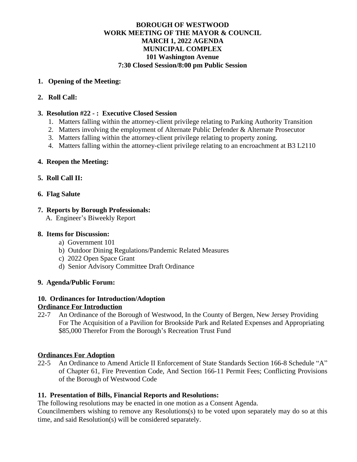# **BOROUGH OF WESTWOOD WORK MEETING OF THE MAYOR & COUNCIL MARCH 1, 2022 AGENDA MUNICIPAL COMPLEX 101 Washington Avenue 7:30 Closed Session/8:00 pm Public Session**

#### **1. Opening of the Meeting:**

# **2. Roll Call:**

## **3. Resolution #22 - : Executive Closed Session**

- 1. Matters falling within the attorney-client privilege relating to Parking Authority Transition
- 2. Matters involving the employment of Alternate Public Defender & Alternate Prosecutor
- 3. Matters falling within the attorney-client privilege relating to property zoning.
- 4. Matters falling within the attorney-client privilege relating to an encroachment at B3 L2110

## **4. Reopen the Meeting:**

## **5. Roll Call II:**

## **6. Flag Salute**

## **7. Reports by Borough Professionals:**

A. Engineer's Biweekly Report

#### **8. Items for Discussion:**

- a) Government 101
- b) Outdoor Dining Regulations/Pandemic Related Measures
- c) 2022 Open Space Grant
- d) Senior Advisory Committee Draft Ordinance

#### **9. Agenda/Public Forum:**

# **10. Ordinances for Introduction/Adoption**

## **Ordinance For Introduction**

22-7 An Ordinance of the Borough of Westwood, In the County of Bergen, New Jersey Providing For The Acquisition of a Pavilion for Brookside Park and Related Expenses and Appropriating \$85,000 Therefor From the Borough's Recreation Trust Fund

#### **Ordinances For Adoption**

22-5 An Ordinance to Amend Article II Enforcement of State Standards Section 166-8 Schedule "A" of Chapter 61, Fire Prevention Code, And Section 166-11 Permit Fees; Conflicting Provisions of the Borough of Westwood Code

#### **11. Presentation of Bills, Financial Reports and Resolutions:**

The following resolutions may be enacted in one motion as a Consent Agenda.

Councilmembers wishing to remove any Resolutions(s) to be voted upon separately may do so at this time, and said Resolution(s) will be considered separately.